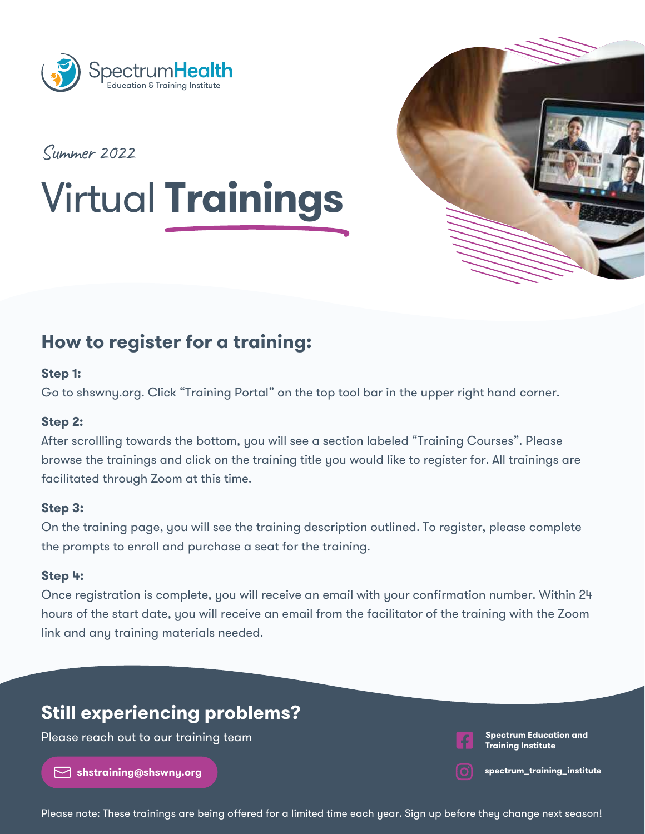



Summer 2022

# Virtual **Trainings**

# **How to register for a training:**

#### **Step 1:**

Go to shswny.org. Click "Training Portal" on the top tool bar in the upper right hand corner.

### **Step 2:**

After scrollling towards the bottom, you will see a section labeled "Training Courses". Please browse the trainings and click on the training title you would like to register for. All trainings are facilitated through Zoom at this time.

#### **Step 3:**

On the training page, you will see the training description outlined. To register, please complete the prompts to enroll and purchase a seat for the training.

#### **Step 4:**

Once registration is complete, you will receive an email with your confirmation number. Within 24 hours of the start date, you will receive an email from the facilitator of the training with the Zoom link and any training materials needed.

# **Still experiencing problems?**

Please reach out to our training team

**shstraining@shswny.org**

**Spectrum Education and Training Institute**

**spectrum\_training\_institute**

Please note: These trainings are being offered for a limited time each year. Sign up before they change next season!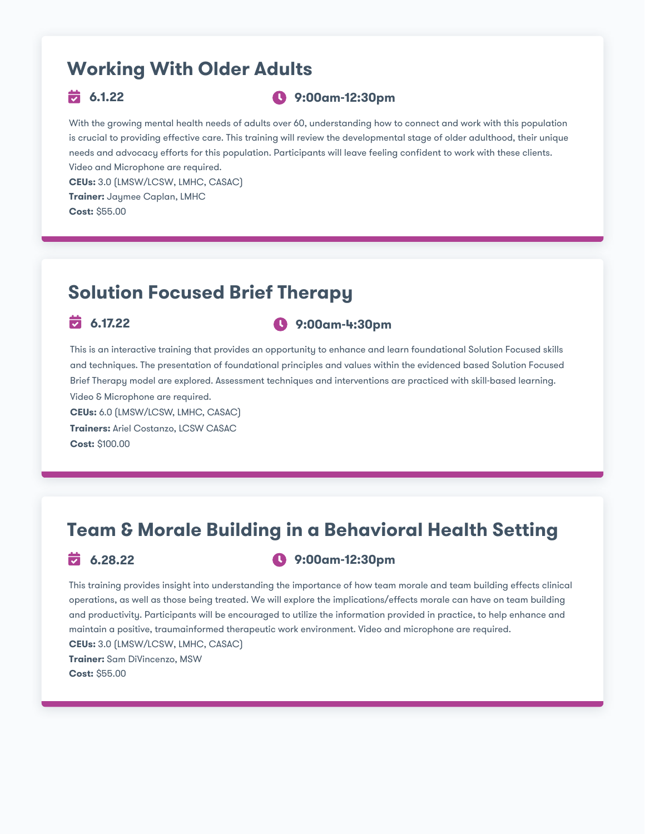# **Working With Older Adults**

### **6.1.22 9:00am-12:30pm**

With the growing mental health needs of adults over 60, understanding how to connect and work with this population is crucial to providing effective care. This training will review the developmental stage of older adulthood, their unique needs and advocacy efforts for this population. Participants will leave feeling confident to work with these clients. Video and Microphone are required.

**CEUs:** 3.0 (LMSW/LCSW, LMHC, CASAC) **Trainer:** Jaymee Caplan, LMHC **Cost:** \$55.00

# **Solution Focused Brief Therapy**

### **6.17.22 9:00am-4:30pm**

This is an interactive training that provides an opportunity to enhance and learn foundational Solution Focused skills and techniques. The presentation of foundational principles and values within the evidenced based Solution Focused Brief Therapy model are explored. Assessment techniques and interventions are practiced with skill-based learning. Video & Microphone are required.

**CEUs:** 6.0 (LMSW/LCSW, LMHC, CASAC) **Trainers:** Ariel Costanzo, LCSW CASAC **Cost:** \$100.00

# **Team & Morale Building in a Behavioral Health Setting**

### **6.28.22 9:00am-12:30pm**

This training provides insight into understanding the importance of how team morale and team building effects clinical operations, as well as those being treated. We will explore the implications/effects morale can have on team building and productivity. Participants will be encouraged to utilize the information provided in practice, to help enhance and maintain a positive, traumainformed therapeutic work environment. Video and microphone are required. **CEUs:** 3.0 (LMSW/LCSW, LMHC, CASAC) **Trainer:** Sam DiVincenzo, MSW **Cost:** \$55.00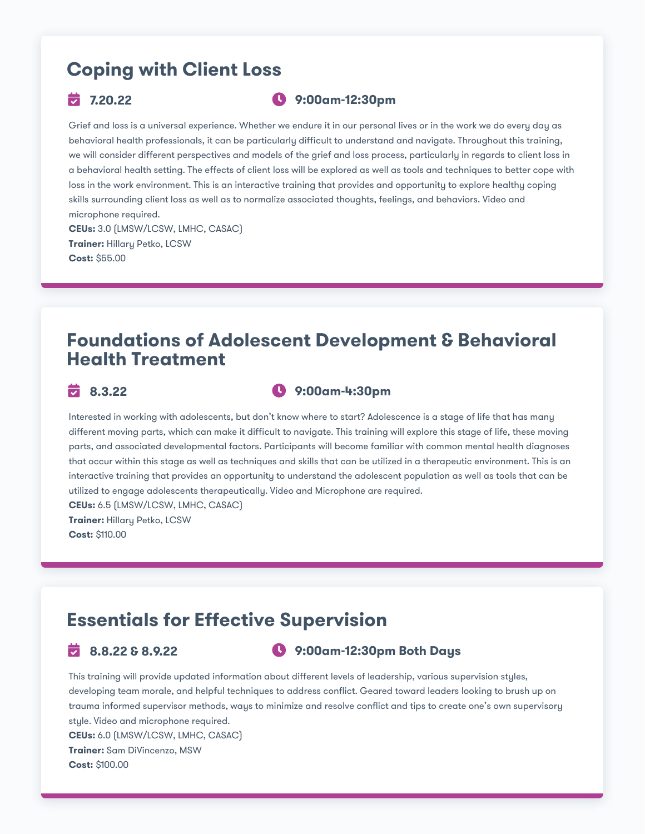# **Coping with Client Loss**

#### **7.20.22 9:00am-12:30pm**

Grief and loss is a universal experience. Whether we endure it in our personal lives or in the work we do every day as behavioral health professionals, it can be particularly difficult to understand and navigate. Throughout this training, we will consider different perspectives and models of the grief and loss process, particularly in regards to client loss in a behavioral health setting. The effects of client loss will be explored as well as tools and techniques to better cope with loss in the work environment. This is an interactive training that provides and opportunity to explore healthy coping skills surrounding client loss as well as to normalize associated thoughts, feelings, and behaviors. Video and microphone required. **CEUs:** 3.0 (LMSW/LCSW, LMHC, CASAC) **Trainer:** Hillary Petko, LCSW

### **Foundations of Adolescent Development & Behavioral Health Treatment**

**Cost:** \$55.00

### **8.3.22 9:00am-4:30pm**

Interested in working with adolescents, but don't know where to start? Adolescence is a stage of life that has many different moving parts, which can make it difficult to navigate. This training will explore this stage of life, these moving parts, and associated developmental factors. Participants will become familiar with common mental health diagnoses that occur within this stage as well as techniques and skills that can be utilized in a therapeutic environment. This is an interactive training that provides an opportunity to understand the adolescent population as well as tools that can be utilized to engage adolescents therapeutically. Video and Microphone are required.

**CEUs:** 6.5 (LMSW/LCSW, LMHC, CASAC) **Trainer:** Hillary Petko, LCSW **Cost:** \$110.00

## **Essentials for Effective Supervision**

#### **8.8.22 & 8.9.22 9:00am-12:30pm Both Days**

This training will provide updated information about different levels of leadership, various supervision styles, developing team morale, and helpful techniques to address conflict. Geared toward leaders looking to brush up on trauma informed supervisor methods, ways to minimize and resolve conflict and tips to create one's own supervisory style. Video and microphone required. **CEUs:** 6.0 (LMSW/LCSW, LMHC, CASAC) **Trainer:** Sam DiVincenzo, MSW **Cost:** \$100.00